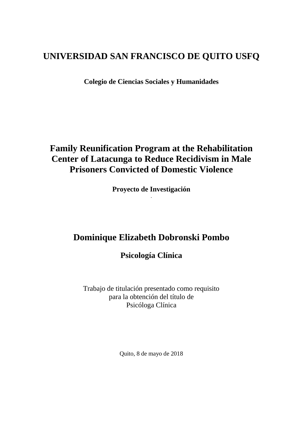# **UNIVERSIDAD SAN FRANCISCO DE QUITO USFQ**

**Colegio de Ciencias Sociales y Humanidades**

# **Family Reunification Program at the Rehabilitation Center of Latacunga to Reduce Recidivism in Male Prisoners Convicted of Domestic Violence**

**Proyecto de Investigación** .

# **Dominique Elizabeth Dobronski Pombo**

**Psicología Clínica**

Trabajo de titulación presentado como requisito para la obtención del título de Psicóloga Clínica

Quito, 8 de mayo de 2018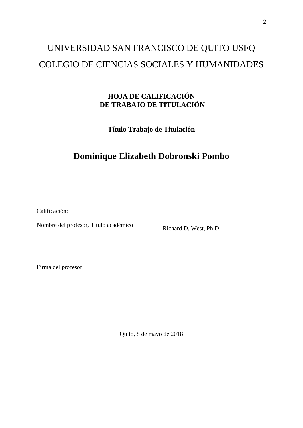# UNIVERSIDAD SAN FRANCISCO DE QUITO USFQ COLEGIO DE CIENCIAS SOCIALES Y HUMANIDADES

# **HOJA DE CALIFICACIÓN DE TRABAJO DE TITULACIÓN**

**Título Trabajo de Titulación**

# **Dominique Elizabeth Dobronski Pombo**

Calificación:

Nombre del profesor, Título académico<br>Richard D. West, Ph.D.

Firma del profesor

Quito, 8 de mayo de 2018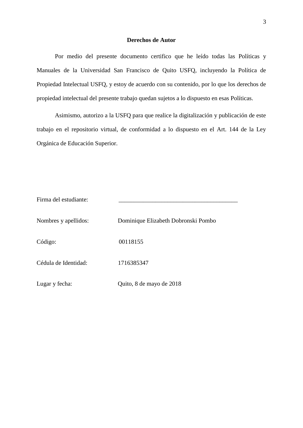#### **Derechos de Autor**

Por medio del presente documento certifico que he leído todas las Políticas y Manuales de la Universidad San Francisco de Quito USFQ, incluyendo la Política de Propiedad Intelectual USFQ, y estoy de acuerdo con su contenido, por lo que los derechos de propiedad intelectual del presente trabajo quedan sujetos a lo dispuesto en esas Políticas.

Asimismo, autorizo a la USFQ para que realice la digitalización y publicación de este trabajo en el repositorio virtual, de conformidad a lo dispuesto en el Art. 144 de la Ley Orgánica de Educación Superior.

| Firma del estudiante: |                                     |
|-----------------------|-------------------------------------|
| Nombres y apellidos:  | Dominique Elizabeth Dobronski Pombo |
| Código:               | 00118155                            |
| Cédula de Identidad:  | 1716385347                          |
| Lugar y fecha:        | Quito, 8 de mayo de 2018            |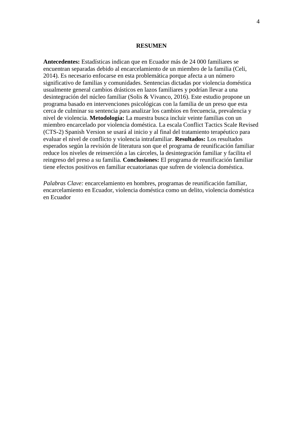#### **RESUMEN**

**Antecedentes:** Estadísticas indican que en Ecuador más de 24 000 familiares se encuentran separadas debido al encarcelamiento de un miembro de la familia (Celi, 2014). Es necesario enfocarse en esta problemática porque afecta a un número significativo de familias y comunidades. Sentencias dictadas por violencia doméstica usualmente general cambios drásticos en lazos familiares y podrían llevar a una desintegración del núcleo familiar (Solis & Vivanco, 2016). Este estudio propone un programa basado en intervenciones psicológicas con la familia de un preso que esta cerca de culminar su sentencia para analizar los cambios en frecuencia, prevalencia y nivel de violencia. **Metodología:** La muestra busca incluir veinte familias con un miembro encarcelado por violencia doméstica. La escala Conflict Tactics Scale Revised (CTS-2) Spanish Version se usará al inicio y al final del tratamiento terapéutico para evaluar el nivel de conflicto y violencia intrafamiliar. **Resultados:** Los resultados esperados según la revisión de literatura son que el programa de reunificación familiar reduce los niveles de reinserción a las cárceles, la desintegración familiar y facilita el reingreso del preso a su familia. **Conclusiones:** El programa de reunificación familiar tiene efectos positivos en familiar ecuatorianas que sufren de violencia doméstica.

*Palabras Clave:* encarcelamiento en hombres, programas de reunificación familiar, encarcelamiento en Ecuador, violencia doméstica como un delito, violencia doméstica en Ecuador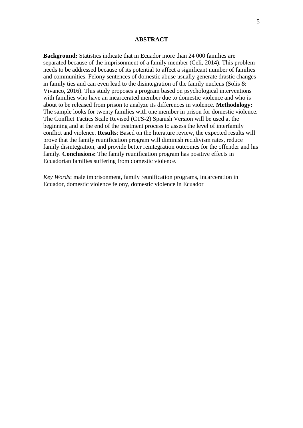#### **ABSTRACT**

**Background:** Statistics indicate that in Ecuador more than 24 000 families are separated because of the imprisonment of a family member (Celi, 2014). This problem needs to be addressed because of its potential to affect a significant number of families and communities. Felony sentences of domestic abuse usually generate drastic changes in family ties and can even lead to the disintegration of the family nucleus (Solis  $\&$ Vivanco, 2016). This study proposes a program based on psychological interventions with families who have an incarcerated member due to domestic violence and who is about to be released from prison to analyze its differences in violence. **Methodology:** The sample looks for twenty families with one member in prison for domestic violence. The Conflict Tactics Scale Revised (CTS-2) Spanish Version will be used at the beginning and at the end of the treatment process to assess the level of interfamily conflict and violence. **Results**: Based on the literature review, the expected results will prove that the family reunification program will diminish recidivism rates, reduce family disintegration, and provide better reintegration outcomes for the offender and his family. **Conclusions:** The family reunification program has positive effects in Ecuadorian families suffering from domestic violence.

*Key Words*: male imprisonment, family reunification programs, incarceration in Ecuador, domestic violence felony, domestic violence in Ecuador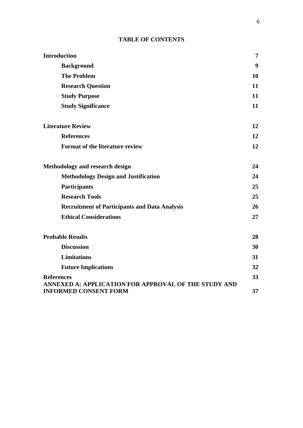# **TABLE OF CONTENTS**

| <b>Introduction</b>                                                       | 7  |
|---------------------------------------------------------------------------|----|
| <b>Background</b>                                                         | 9  |
| <b>The Problem</b>                                                        | 10 |
| <b>Research Question</b>                                                  | 11 |
| <b>Study Purpose</b>                                                      | 11 |
| <b>Study Significance</b>                                                 | 11 |
| <b>Literature Review</b>                                                  | 12 |
| <b>References</b>                                                         | 12 |
| <b>Format of the literature review</b>                                    | 12 |
| <b>Methodology and research design</b>                                    | 24 |
| <b>Methodology Design and Justification</b>                               | 24 |
| <b>Participants</b>                                                       | 25 |
| <b>Research Tools</b>                                                     | 25 |
| <b>Recruitment of Participants and Data Analysis</b>                      | 26 |
| <b>Ethical Considerations</b>                                             | 27 |
| <b>Probable Results</b>                                                   | 28 |
| <b>Discussion</b>                                                         | 30 |
| <b>Limitations</b>                                                        | 31 |
| <b>Future Implications</b>                                                | 32 |
| <b>References</b><br>ANNEXED A: APPLICATION FOR APPROVAL OF THE STUDY AND | 33 |
| <b>INFORMED CONSENT FORM</b>                                              | 37 |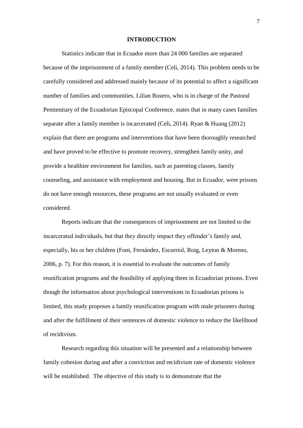#### **INTRODUCTION**

Statistics indicate that in Ecuador more than 24 000 families are separated because of the imprisonment of a family member (Celi, 2014). This problem needs to be carefully considered and addressed mainly because of its potential to affect a significant number of families and communities. Lilian Rosero, who is in charge of the Pastoral Penitentiary of the Ecuadorian Episcopal Conference, states that in many cases families separate after a family member is incarcerated (Celi, 2014). Ryan & Huang (2012) explain that there are programs and interventions that have been thoroughly researched and have proved to be effective to promote recovery, strengthen family unity, and provide a healthier environment for families, such as parenting classes, family counseling, and assistance with employment and housing. But in Ecuador, were prisons do not have enough resources, these programs are not usually evaluated or even considered.

Reports indicate that the consequences of imprisonment are not limited to the incarcerated individuals, but that they directly impact they offender's family and, especially, his or her children (Font, Fernández, Escurriol, Roig, Leyton & Moreno, 2006, p. 7). For this reason, it is essential to evaluate the outcomes of family reunification programs and the feasibility of applying them in Ecuadorian prisons. Even though the information about psychological interventions in Ecuadorian prisons is limited, this study proposes a family reunification program with male prisoners during and after the fulfillment of their sentences of domestic violence to reduce the likelihood of recidivism.

Research regarding this situation will be presented and a relationship between family cohesion during and after a conviction and recidivism rate of domestic violence will be established. The objective of this study is to demonstrate that the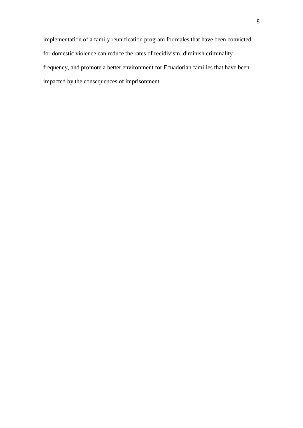implementation of a family reunification program for males that have been convicted for domestic violence can reduce the rates of recidivism, diminish criminality frequency, and promote a better environment for Ecuadorian families that have been impacted by the consequences of imprisonment.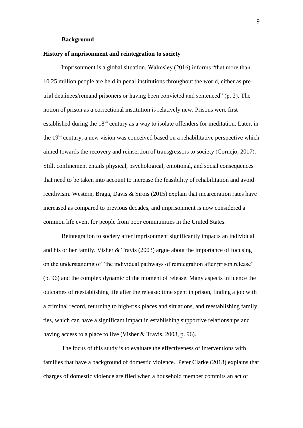#### **Background**

#### **History of imprisonment and reintegration to society**

Imprisonment is a global situation. Walmsley (2016) informs "that more than 10.25 million people are held in penal institutions throughout the world, either as pretrial detainees/remand prisoners or having been convicted and sentenced" (p. 2). The notion of prison as a correctional institution is relatively new. Prisons were first established during the  $18<sup>th</sup>$  century as a way to isolate offenders for meditation. Later, in the  $19<sup>th</sup>$  century, a new vision was conceived based on a rehabilitative perspective which aimed towards the recovery and reinsertion of transgressors to society (Cornejo, 2017). Still, confinement entails physical, psychological, emotional, and social consequences that need to be taken into account to increase the feasibility of rehabilitation and avoid recidivism. Western, Braga, Davis & Sirois (2015) explain that incarceration rates have increased as compared to previous decades, and imprisonment is now considered a common life event for people from poor communities in the United States.

Reintegration to society after imprisonment significantly impacts an individual and his or her family. Visher & Travis (2003) argue about the importance of focusing on the understanding of "the individual pathways of reintegration after prison release" (p. 96) and the complex dynamic of the moment of release. Many aspects influence the outcomes of reestablishing life after the release: time spent in prison, finding a job with a criminal record, returning to high-risk places and situations, and reestablishing family ties, which can have a significant impact in establishing supportive relationships and having access to a place to live (Visher & Travis, 2003, p. 96).

The focus of this study is to evaluate the effectiveness of interventions with families that have a background of domestic violence. Peter Clarke (2018) explains that charges of domestic violence are filed when a household member commits an act of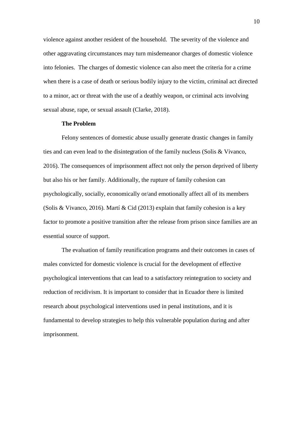violence against another resident of the household. The severity of the violence and other aggravating circumstances may turn misdemeanor charges of domestic violence into felonies. The charges of domestic violence can also meet the criteria for a crime when there is a case of death or serious bodily injury to the victim, criminal act directed to a minor, act or threat with the use of a deathly weapon, or criminal acts involving sexual abuse, rape, or sexual assault (Clarke, 2018).

#### **The Problem**

Felony sentences of domestic abuse usually generate drastic changes in family ties and can even lead to the disintegration of the family nucleus (Solis & Vivanco, 2016). The consequences of imprisonment affect not only the person deprived of liberty but also his or her family. Additionally, the rupture of family cohesion can psychologically, socially, economically or/and emotionally affect all of its members (Solis & Vivanco, 2016). Martí & Cid (2013) explain that family cohesion is a key factor to promote a positive transition after the release from prison since families are an essential source of support.

The evaluation of family reunification programs and their outcomes in cases of males convicted for domestic violence is crucial for the development of effective psychological interventions that can lead to a satisfactory reintegration to society and reduction of recidivism. It is important to consider that in Ecuador there is limited research about psychological interventions used in penal institutions, and it is fundamental to develop strategies to help this vulnerable population during and after imprisonment.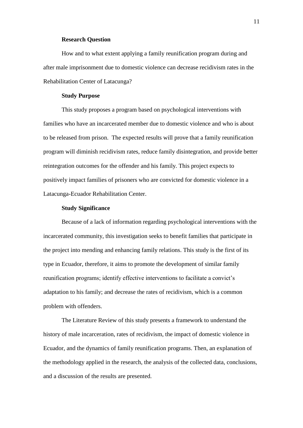#### **Research Question**

How and to what extent applying a family reunification program during and after male imprisonment due to domestic violence can decrease recidivism rates in the Rehabilitation Center of Latacunga?

#### **Study Purpose**

This study proposes a program based on psychological interventions with families who have an incarcerated member due to domestic violence and who is about to be released from prison. The expected results will prove that a family reunification program will diminish recidivism rates, reduce family disintegration, and provide better reintegration outcomes for the offender and his family. This project expects to positively impact families of prisoners who are convicted for domestic violence in a Latacunga-Ecuador Rehabilitation Center.

#### **Study Significance**

Because of a lack of information regarding psychological interventions with the incarcerated community, this investigation seeks to benefit families that participate in the project into mending and enhancing family relations. This study is the first of its type in Ecuador, therefore, it aims to promote the development of similar family reunification programs; identify effective interventions to facilitate a convict's adaptation to his family; and decrease the rates of recidivism, which is a common problem with offenders.

The Literature Review of this study presents a framework to understand the history of male incarceration, rates of recidivism, the impact of domestic violence in Ecuador, and the dynamics of family reunification programs. Then, an explanation of the methodology applied in the research, the analysis of the collected data, conclusions, and a discussion of the results are presented.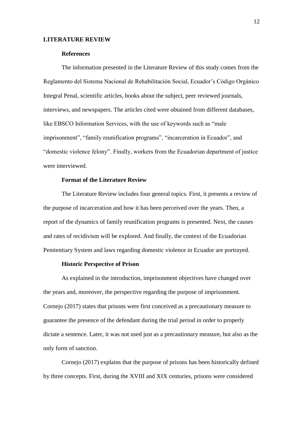#### **LITERATURE REVIEW**

#### **References**

The information presented in the Literature Review of this study comes from the Reglamento del Sistema Nacional de Rehabilitación Social, Ecuador's Código Orgánico Integral Penal, scientific articles, books about the subject, peer reviewed journals, interviews, and newspapers. The articles cited were obtained from different databases, like EBSCO Information Services, with the use of keywords such as "male imprisonment", "family reunification programs", "incarceration in Ecuador", and "domestic violence felony". Finally, workers from the Ecuadorian department of justice were interviewed.

#### **Format of the Literature Review**

The Literature Review includes four general topics. First, it presents a review of the purpose of incarceration and how it has been perceived over the years. Then, a report of the dynamics of family reunification programs is presented. Next, the causes and rates of recidivism will be explored. And finally, the context of the Ecuadorian Penitentiary System and laws regarding domestic violence in Ecuador are portrayed.

#### **Historic Perspective of Prison**

As explained in the introduction, imprisonment objectives have changed over the years and, moreover, the perspective regarding the purpose of imprisonment. Cornejo (2017) states that prisons were first conceived as a precautionary measure to guarantee the presence of the defendant during the trial period in order to properly dictate a sentence. Later, it was not used just as a precautionary measure, but also as the only form of sanction.

Cornejo (2017) explains that the purpose of prisons has been historically defined by three concepts. First, during the XVIII and XIX centuries, prisons were considered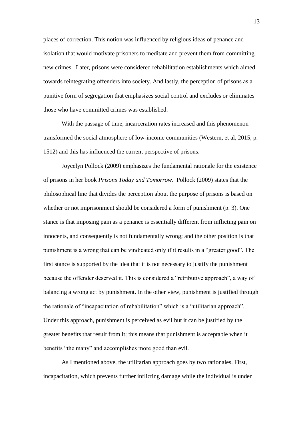places of correction. This notion was influenced by religious ideas of penance and isolation that would motivate prisoners to meditate and prevent them from committing new crimes. Later, prisons were considered rehabilitation establishments which aimed towards reintegrating offenders into society. And lastly, the perception of prisons as a punitive form of segregation that emphasizes social control and excludes or eliminates those who have committed crimes was established.

With the passage of time, incarceration rates increased and this phenomenon transformed the social atmosphere of low-income communities (Western, et al, 2015, p. 1512) and this has influenced the current perspective of prisons.

Joycelyn Pollock (2009) emphasizes the fundamental rationale for the existence of prisons in her book *Prisons Today and Tomorrow*. Pollock (2009) states that the philosophical line that divides the perception about the purpose of prisons is based on whether or not imprisonment should be considered a form of punishment (p. 3). One stance is that imposing pain as a penance is essentially different from inflicting pain on innocents, and consequently is not fundamentally wrong; and the other position is that punishment is a wrong that can be vindicated only if it results in a "greater good". The first stance is supported by the idea that it is not necessary to justify the punishment because the offender deserved it. This is considered a "retributive approach", a way of balancing a wrong act by punishment. In the other view, punishment is justified through the rationale of "incapacitation of rehabilitation" which is a "utilitarian approach". Under this approach, punishment is perceived as evil but it can be justified by the greater benefits that result from it; this means that punishment is acceptable when it benefits "the many" and accomplishes more good than evil.

As I mentioned above, the utilitarian approach goes by two rationales. First, incapacitation, which prevents further inflicting damage while the individual is under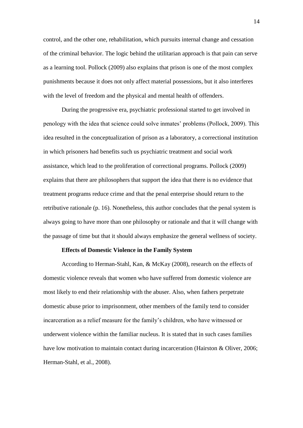control, and the other one, rehabilitation, which pursuits internal change and cessation of the criminal behavior. The logic behind the utilitarian approach is that pain can serve as a learning tool. Pollock (2009) also explains that prison is one of the most complex punishments because it does not only affect material possessions, but it also interferes with the level of freedom and the physical and mental health of offenders.

During the progressive era, psychiatric professional started to get involved in penology with the idea that science could solve inmates' problems (Pollock, 2009). This idea resulted in the conceptualization of prison as a laboratory, a correctional institution in which prisoners had benefits such us psychiatric treatment and social work assistance, which lead to the proliferation of correctional programs. Pollock (2009) explains that there are philosophers that support the idea that there is no evidence that treatment programs reduce crime and that the penal enterprise should return to the retributive rationale (p. 16). Nonetheless, this author concludes that the penal system is always going to have more than one philosophy or rationale and that it will change with the passage of time but that it should always emphasize the general wellness of society.

#### **Effects of Domestic Violence in the Family System**

According to Herman-Stahl, Kan, & McKay (2008), research on the effects of domestic violence reveals that women who have suffered from domestic violence are most likely to end their relationship with the abuser. Also, when fathers perpetrate domestic abuse prior to imprisonment, other members of the family tend to consider incarceration as a relief measure for the family's children, who have witnessed or underwent violence within the familiar nucleus. It is stated that in such cases families have low motivation to maintain contact during incarceration (Hairston & Oliver, 2006; Herman-Stahl, et al., 2008).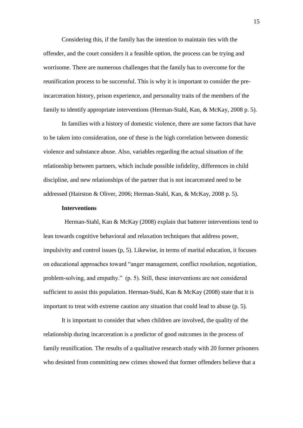Considering this, if the family has the intention to maintain ties with the offender, and the court considers it a feasible option, the process can be trying and worrisome. There are numerous challenges that the family has to overcome for the reunification process to be successful. This is why it is important to consider the preincarceration history, prison experience, and personality traits of the members of the family to identify appropriate interventions (Herman-Stahl, Kan, & McKay, 2008 p. 5).

In families with a history of domestic violence, there are some factors that have to be taken into consideration, one of these is the high correlation between domestic violence and substance abuse. Also, variables regarding the actual situation of the relationship between partners, which include possible infidelity, differences in child discipline, and new relationships of the partner that is not incarcerated need to be addressed (Hairston & Oliver, 2006; Herman-Stahl, Kan, & McKay, 2008 p. 5).

#### **Interventions**

 Herman-Stahl, Kan & McKay (2008) explain that batterer interventions tend to lean towards cognitive behavioral and relaxation techniques that address power, impulsivity and control issues (p, 5). Likewise, in terms of marital education, it focuses on educational approaches toward "anger management, conflict resolution, negotiation, problem-solving, and empathy." (p. 5). Still, these interventions are not considered sufficient to assist this population. Herman-Stahl, Kan & McKay (2008) state that it is important to treat with extreme caution any situation that could lead to abuse (p. 5).

It is important to consider that when children are involved, the quality of the relationship during incarceration is a predictor of good outcomes in the process of family reunification. The results of a qualitative research study with 20 former prisoners who desisted from committing new crimes showed that former offenders believe that a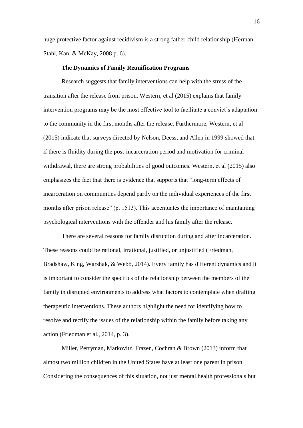huge protective factor against recidivism is a strong father-child relationship (Herman-Stahl, Kan, & McKay, 2008 p. 6).

#### **The Dynamics of Family Reunification Programs**

Research suggests that family interventions can help with the stress of the transition after the release from prison. Western, et al (2015) explains that family intervention programs may be the most effective tool to facilitate a convict's adaptation to the community in the first months after the release. Furthermore, Western, et al (2015) indicate that surveys directed by Nelson, Deess, and Allen in 1999 showed that if there is fluidity during the post-incarceration period and motivation for criminal withdrawal, there are strong probabilities of good outcomes. Western, et al (2015) also emphasizes the fact that there is evidence that supports that "long-term effects of incarceration on communities depend partly on the individual experiences of the first months after prison release" (p. 1513). This accentuates the importance of maintaining psychological interventions with the offender and his family after the release.

There are several reasons for family disruption during and after incarceration. These reasons could be rational, irrational, justified, or unjustified (Friedman, Bradshaw, King, Warshak, & Webb, 2014). Every family has different dynamics and it is important to consider the specifics of the relationship between the members of the family in disrupted environments to address what factors to contemplate when drafting therapeutic interventions. These authors highlight the need for identifying how to resolve and rectify the issues of the relationship within the family before taking any action (Friedman et al., 2014, p. 3).

Miller, Perryman, Markovitz, Frazen, Cochran & Brown (2013) inform that almost two million children in the United States have at least one parent in prison. Considering the consequences of this situation, not just mental health professionals but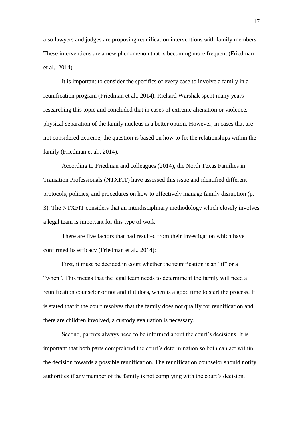also lawyers and judges are proposing reunification interventions with family members. These interventions are a new phenomenon that is becoming more frequent (Friedman et al., 2014).

It is important to consider the specifics of every case to involve a family in a reunification program (Friedman et al., 2014). Richard Warshak spent many years researching this topic and concluded that in cases of extreme alienation or violence, physical separation of the family nucleus is a better option. However, in cases that are not considered extreme, the question is based on how to fix the relationships within the family (Friedman et al., 2014).

According to Friedman and colleagues (2014), the North Texas Families in Transition Professionals (NTXFIT) have assessed this issue and identified different protocols, policies, and procedures on how to effectively manage family disruption (p. 3). The NTXFIT considers that an interdisciplinary methodology which closely involves a legal team is important for this type of work.

There are five factors that had resulted from their investigation which have confirmed its efficacy (Friedman et al., 2014):

First, it must be decided in court whether the reunification is an "if" or a "when". This means that the legal team needs to determine if the family will need a reunification counselor or not and if it does, when is a good time to start the process. It is stated that if the court resolves that the family does not qualify for reunification and there are children involved, a custody evaluation is necessary.

Second, parents always need to be informed about the court's decisions. It is important that both parts comprehend the court's determination so both can act within the decision towards a possible reunification. The reunification counselor should notify authorities if any member of the family is not complying with the court's decision.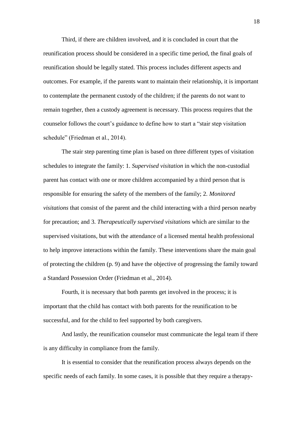Third, if there are children involved, and it is concluded in court that the reunification process should be considered in a specific time period, the final goals of reunification should be legally stated. This process includes different aspects and outcomes. For example, if the parents want to maintain their relationship, it is important to contemplate the permanent custody of the children; if the parents do not want to remain together, then a custody agreement is necessary. This process requires that the counselor follows the court's guidance to define how to start a "stair step visitation schedule" (Friedman et al., 2014).

The stair step parenting time plan is based on three different types of visitation schedules to integrate the family: 1. *Supervised visitation* in which the non-custodial parent has contact with one or more children accompanied by a third person that is responsible for ensuring the safety of the members of the family; 2. *Monitored visitations* that consist of the parent and the child interacting with a third person nearby for precaution; and 3. *Therapeutically supervised visitations* which are similar to the supervised visitations, but with the attendance of a licensed mental health professional to help improve interactions within the family. These interventions share the main goal of protecting the children (p. 9) and have the objective of progressing the family toward a Standard Possession Order (Friedman et al., 2014).

Fourth, it is necessary that both parents get involved in the process; it is important that the child has contact with both parents for the reunification to be successful, and for the child to feel supported by both caregivers.

And lastly, the reunification counselor must communicate the legal team if there is any difficulty in compliance from the family.

It is essential to consider that the reunification process always depends on the specific needs of each family. In some cases, it is possible that they require a therapy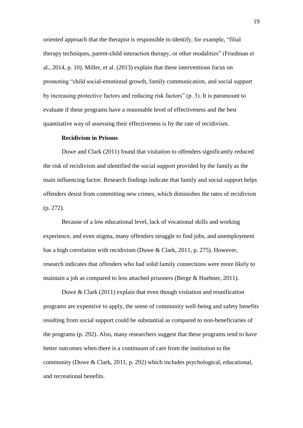oriented approach that the therapist is responsible to identify, for example, "filial therapy techniques, parent-child interaction therapy, or other modalities" (Friedman et al., 2014, p. 10). Miller, et al. (2013) explain that these interventions focus on promoting "child social-emotional growth, family communication, and social support by increasing protective factors and reducing risk factors" (p. 3). It is paramount to evaluate if these programs have a reasonable level of effectiveness and the best quantitative way of assessing their effectiveness is by the rate of recidivism.

#### **Recidivism in Prisons**

Duwe and Clark (2011) found that visitation to offenders significantly reduced the risk of recidivism and identified the social support provided by the family as the main influencing factor. Research findings indicate that family and social support helps offenders desist from committing new crimes, which diminishes the rates of recidivism (p. 272).

Because of a low educational level, lack of vocational skills and working experience, and even stigma, many offenders struggle to find jobs, and unemployment has a high correlation with recidivism (Duwe & Clark, 2011, p. 275). However, research indicates that offenders who had solid family connections were more likely to maintain a job as compared to less attached prisoners (Berge & Huebner, 2011).

Duwe & Clark (2011) explain that even though visitation and reunification programs are expensive to apply, the sense of community well-being and safety benefits resulting from social support could be substantial as compared to non-beneficiaries of the programs (p. 292). Also, many researchers suggest that these programs tend to have better outcomes when there is a continuum of care from the institution to the community (Duwe & Clark, 2011, p. 292) which includes psychological, educational, and recreational benefits.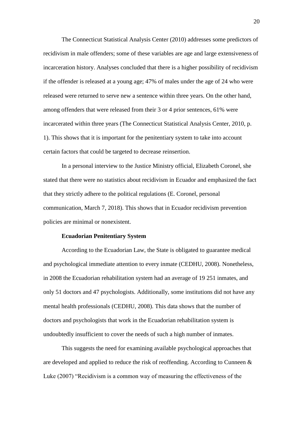The Connecticut Statistical Analysis Center (2010) addresses some predictors of recidivism in male offenders; some of these variables are age and large extensiveness of incarceration history. Analyses concluded that there is a higher possibility of recidivism if the offender is released at a young age; 47% of males under the age of 24 who were released were returned to serve new a sentence within three years. On the other hand, among offenders that were released from their 3 or 4 prior sentences, 61% were incarcerated within three years (The Connecticut Statistical Analysis Center, 2010, p. 1). This shows that it is important for the penitentiary system to take into account certain factors that could be targeted to decrease reinsertion.

In a personal interview to the Justice Ministry official, Elizabeth Coronel, she stated that there were no statistics about recidivism in Ecuador and emphasized the fact that they strictly adhere to the political regulations (E. Coronel, personal communication, March 7, 2018). This shows that in Ecuador recidivism prevention policies are minimal or nonexistent.

#### **Ecuadorian Penitentiary System**

According to the Ecuadorian Law, the State is obligated to guarantee medical and psychological immediate attention to every inmate (CEDHU, 2008). Nonetheless, in 2008 the Ecuadorian rehabilitation system had an average of 19 251 inmates, and only 51 doctors and 47 psychologists. Additionally, some institutions did not have any mental health professionals (CEDHU, 2008). This data shows that the number of doctors and psychologists that work in the Ecuadorian rehabilitation system is undoubtedly insufficient to cover the needs of such a high number of inmates.

This suggests the need for examining available psychological approaches that are developed and applied to reduce the risk of reoffending. According to Cunneen & Luke (2007) "Recidivism is a common way of measuring the effectiveness of the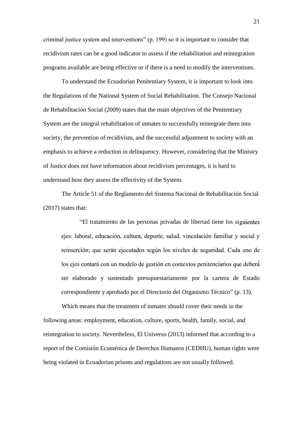criminal justice system and interventions" (p. 199) so it is important to consider that recidivism rates can be a good indicator to assess if the rehabilitation and reintegration programs available are being effective or if there is a need to modify the interventions.

To understand the Ecuadorian Penitentiary System, it is important to look into the Regulations of the National System of Social Rehabilitation. The Consejo Nacional de Rehabilitación Social (2009) states that the main objectives of the Penitentiary System are the integral rehabilitation of inmates to successfully reintegrate them into society, the prevention of recidivism, and the successful adjustment to society with an emphasis to achieve a reduction in delinquency. However, considering that the Ministry of Justice does not have information about recidivism percentages, it is hard to understand how they assess the effectivity of the System.

The Article 51 of the Reglamento del Sistema Nacional de Rehabilitación Social (2017) states that:

"El tratamiento de las personas privadas de libertad tiene los si ejes: laboral, educación, cultura, deporte, salud, vinculación familiar y social y reinserción; que serán ejecutados según los niveles de seguridad. Cada uno de los ejes contará con un modelo de gestión en contextos penitenciarios que deberá ser elaborado y sustentado presupuestariamente por la cartera de Estado correspondiente y aprobado por el Directorio del Organismo Técnico" (p. 13).

Which means that the treatment of inmates should cover their needs in the following areas: employment, education, culture, sports, health, family, social, and reintegration to society. Nevertheless, El Universo (2013) informed that according to a report of the Comisión Ecuménica de Derechos Humanos (CEDHU), human rights were being violated in Ecuadorian prisons and regulations are not usually followed.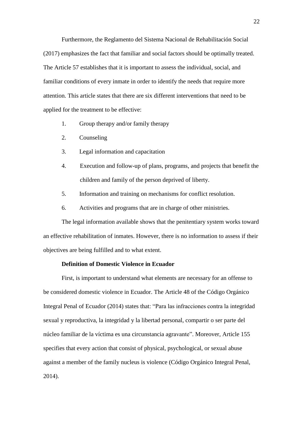Furthermore, the Reglamento del Sistema Nacional de Rehabilitación Social (2017) emphasizes the fact that familiar and social factors should be optimally treated. The Article 57 establishes that it is important to assess the individual, social, and familiar conditions of every inmate in order to identify the needs that require more attention. This article states that there are six different interventions that need to be applied for the treatment to be effective:

- 1. Group therapy and/or family therapy
- 2. Counseling
- 3. Legal information and capacitation
- 4. Execution and follow-up of plans, programs, and projects that benefit the children and family of the person deprived of liberty.
- 5. Information and training on mechanisms for conflict resolution.
- 6. Activities and programs that are in charge of other ministries.

The legal information available shows that the penitentiary system works toward an effective rehabilitation of inmates. However, there is no information to assess if their objectives are being fulfilled and to what extent.

#### **Definition of Domestic Violence in Ecuador**

First, is important to understand what elements are necessary for an offense to be considered domestic violence in Ecuador. The Article 48 of the Código Orgánico Integral Penal of Ecuador (2014) states that: "Para las infracciones contra la integridad sexual y reproductiva, la integridad y la libertad personal, compartir o ser parte del núcleo familiar de la víctima es una circunstancia agravante". Moreover, Article 155 specifies that every action that consist of physical, psychological, or sexual abuse against a member of the family nucleus is violence (Código Orgánico Integral Penal, 2014).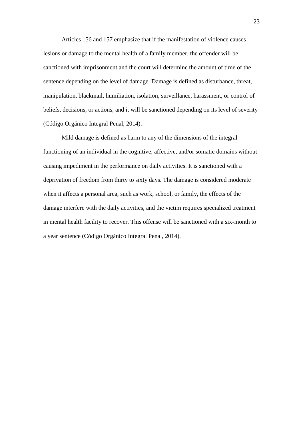Articles 156 and 157 emphasize that if the manifestation of violence causes lesions or damage to the mental health of a family member, the offender will be sanctioned with imprisonment and the court will determine the amount of time of the sentence depending on the level of damage. Damage is defined as disturbance, threat, manipulation, blackmail, humiliation, isolation, surveillance, harassment, or control of beliefs, decisions, or actions, and it will be sanctioned depending on its level of severity (Código Orgánico Integral Penal, 2014).

Mild damage is defined as harm to any of the dimensions of the integral functioning of an individual in the cognitive, affective, and/or somatic domains without causing impediment in the performance on daily activities. It is sanctioned with a deprivation of freedom from thirty to sixty days. The damage is considered moderate when it affects a personal area, such as work, school, or family, the effects of the damage interfere with the daily activities, and the victim requires specialized treatment in mental health facility to recover. This offense will be sanctioned with a six-month to a year sentence (Código Orgánico Integral Penal, 2014).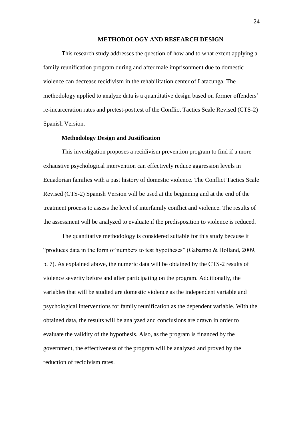#### **METHODOLOGY AND RESEARCH DESIGN**

This research study addresses the question of how and to what extent applying a family reunification program during and after male imprisonment due to domestic violence can decrease recidivism in the rehabilitation center of Latacunga. The methodology applied to analyze data is a quantitative design based on former offenders' re-incarceration rates and pretest-posttest of the Conflict Tactics Scale Revised (CTS-2) Spanish Version.

#### **Methodology Design and Justification**

This investigation proposes a recidivism prevention program to find if a more exhaustive psychological intervention can effectively reduce aggression levels in Ecuadorian families with a past history of domestic violence. The Conflict Tactics Scale Revised (CTS-2) Spanish Version will be used at the beginning and at the end of the treatment process to assess the level of interfamily conflict and violence. The results of the assessment will be analyzed to evaluate if the predisposition to violence is reduced.

The quantitative methodology is considered suitable for this study because it "produces data in the form of numbers to test hypotheses" (Gabarino & Holland, 2009, p. 7). As explained above, the numeric data will be obtained by the CTS-2 results of violence severity before and after participating on the program. Additionally, the variables that will be studied are domestic violence as the independent variable and psychological interventions for family reunification as the dependent variable. With the obtained data, the results will be analyzed and conclusions are drawn in order to evaluate the validity of the hypothesis. Also, as the program is financed by the government, the effectiveness of the program will be analyzed and proved by the reduction of recidivism rates.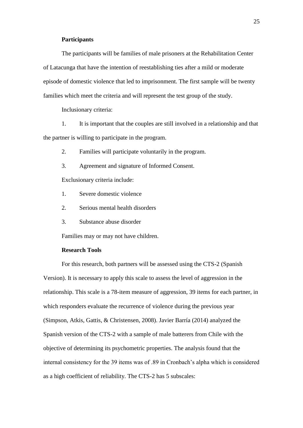#### **Participants**

The participants will be families of male prisoners at the Rehabilitation Center of Latacunga that have the intention of reestablishing ties after a mild or moderate episode of domestic violence that led to imprisonment. The first sample will be twenty families which meet the criteria and will represent the test group of the study.

Inclusionary criteria:

1. It is important that the couples are still involved in a relationship and that the partner is willing to participate in the program.

2. Families will participate voluntarily in the program.

3. Agreement and signature of Informed Consent.

Exclusionary criteria include:

- 1. Severe domestic violence
- 2. Serious mental health disorders
- 3. Substance abuse disorder

Families may or may not have children.

#### **Research Tools**

For this research, both partners will be assessed using the CTS-2 (Spanish Version). It is necessary to apply this scale to assess the level of aggression in the relationship. This scale is a 78-item measure of aggression, 39 items for each partner, in which responders evaluate the recurrence of violence during the previous year (Simpson, Atkis, Gattis, & Christensen, 2008). Javier Barría (2014) analyzed the Spanish version of the CTS-2 with a sample of male batterers from Chile with the objective of determining its psychometric properties. The analysis found that the internal consistency for the 39 items was of .89 in Cronbach's alpha which is considered as a high coefficient of reliability. The CTS-2 has 5 subscales: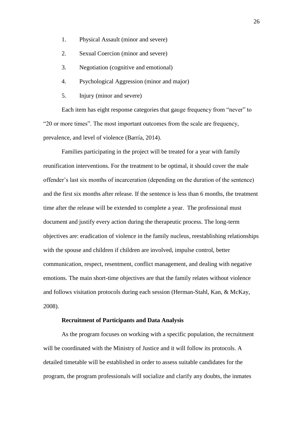- 1. Physical Assault (minor and severe)
- 2. Sexual Coercion (minor and severe)
- 3. Negotiation (cognitive and emotional)
- 4. Psychological Aggression (minor and major)
- 5. Injury (minor and severe)

Each item has eight response categories that gauge frequency from "never" to "20 or more times". The most important outcomes from the scale are frequency, prevalence, and level of violence (Barría, 2014).

Families participating in the project will be treated for a year with family reunification interventions. For the treatment to be optimal, it should cover the male offender's last six months of incarceration (depending on the duration of the sentence) and the first six months after release. If the sentence is less than 6 months, the treatment time after the release will be extended to complete a year. The professional must document and justify every action during the therapeutic process. The long-term objectives are: eradication of violence in the family nucleus, reestablishing relationships with the spouse and children if children are involved, impulse control, better communication, respect, resentment, conflict management, and dealing with negative emotions. The main short-time objectives are that the family relates without violence and follows visitation protocols during each session (Herman-Stahl, Kan, & McKay, 2008).

## **Recruitment of Participants and Data Analysis**

As the program focuses on working with a specific population, the recruitment will be coordinated with the Ministry of Justice and it will follow its protocols. A detailed timetable will be established in order to assess suitable candidates for the program, the program professionals will socialize and clarify any doubts, the inmates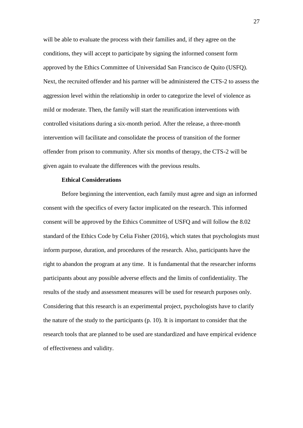will be able to evaluate the process with their families and, if they agree on the conditions, they will accept to participate by signing the informed consent form approved by the Ethics Committee of Universidad San Francisco de Quito (USFQ). Next, the recruited offender and his partner will be administered the CTS-2 to assess the aggression level within the relationship in order to categorize the level of violence as mild or moderate. Then, the family will start the reunification interventions with controlled visitations during a six-month period. After the release, a three-month intervention will facilitate and consolidate the process of transition of the former offender from prison to community. After six months of therapy, the CTS-2 will be given again to evaluate the differences with the previous results.

#### **Ethical Considerations**

Before beginning the intervention, each family must agree and sign an informed consent with the specifics of every factor implicated on the research. This informed consent will be approved by the Ethics Committee of USFQ and will follow the 8.02 standard of the Ethics Code by Celia Fisher (2016), which states that psychologists must inform purpose, duration, and procedures of the research. Also, participants have the right to abandon the program at any time. It is fundamental that the researcher informs participants about any possible adverse effects and the limits of confidentiality. The results of the study and assessment measures will be used for research purposes only. Considering that this research is an experimental project, psychologists have to clarify the nature of the study to the participants (p. 10). It is important to consider that the research tools that are planned to be used are standardized and have empirical evidence of effectiveness and validity.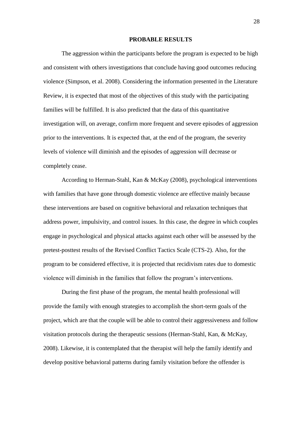#### **PROBABLE RESULTS**

The aggression within the participants before the program is expected to be high and consistent with others investigations that conclude having good outcomes reducing violence (Simpson, et al. 2008). Considering the information presented in the Literature Review, it is expected that most of the objectives of this study with the participating families will be fulfilled. It is also predicted that the data of this quantitative investigation will, on average, confirm more frequent and severe episodes of aggression prior to the interventions. It is expected that, at the end of the program, the severity levels of violence will diminish and the episodes of aggression will decrease or completely cease.

According to Herman-Stahl, Kan & McKay (2008), psychological interventions with families that have gone through domestic violence are effective mainly because these interventions are based on cognitive behavioral and relaxation techniques that address power, impulsivity, and control issues. In this case, the degree in which couples engage in psychological and physical attacks against each other will be assessed by the pretest-posttest results of the Revised Conflict Tactics Scale (CTS-2). Also, for the program to be considered effective, it is projected that recidivism rates due to domestic violence will diminish in the families that follow the program's interventions.

During the first phase of the program, the mental health professional will provide the family with enough strategies to accomplish the short-term goals of the project, which are that the couple will be able to control their aggressiveness and follow visitation protocols during the therapeutic sessions (Herman-Stahl, Kan, & McKay, 2008). Likewise, it is contemplated that the therapist will help the family identify and develop positive behavioral patterns during family visitation before the offender is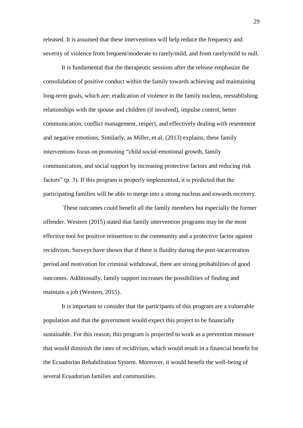released. It is assumed that these interventions will help reduce the frequency and severity of violence from frequent/moderate to rarely/mild, and from rarely/mild to null.

It is fundamental that the therapeutic sessions after the release emphasize the consolidation of positive conduct within the family towards achieving and maintaining long-term goals, which are: eradication of violence in the family nucleus, reestablishing relationships with the spouse and children (if involved), impulse control, better communication, conflict management, respect, and effectively dealing with resentment and negative emotions. Similarly, as Miller, et al. (2013) explains, these family interventions focus on promoting "child social-emotional growth, family communication, and social support by increasing protective factors and reducing risk factors" (p. 3). If this program is properly implemented, it is predicted that the participating families will be able to merge into a strong nucleus and towards recovery.

These outcomes could benefit all the family members but especially the former offender. Western (2015) stated that family intervention programs may be the most effective tool for positive reinsertion to the community and a protective factor against recidivism. Surveys have shown that if there is fluidity during the post-incarceration period and motivation for criminal withdrawal, there are strong probabilities of good outcomes. Additionally, family support increases the possibilities of finding and maintain a job (Western, 2015).

It is important to consider that the participants of this program are a vulnerable population and that the government would expect this project to be financially sustainable. For this reason, this program is projected to work as a prevention measure that would diminish the rates of recidivism, which would result in a financial benefit for the Ecuadorian Rehabilitation System. Moreover, it would benefit the well-being of several Ecuadorian families and communities.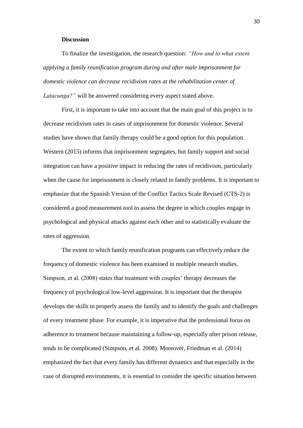#### **Discussion**

To finalize the investigation, the research question: *"How and to what extent applying a family reunification program during and after male imprisonment for domestic violence can decrease recidivism rates at the rehabilitation center of Latacunga?"* will be answered considering every aspect stated above.

First, it is important to take into account that the main goal of this project is to decrease recidivism rates in cases of imprisonment for domestic violence. Several studies have shown that family therapy could be a good option for this population. Western (2015) informs that imprisonment segregates, but family support and social integration can have a positive impact in reducing the rates of recidivism, particularly when the cause for imprisonment is closely related to family problems. It is important to emphasize that the Spanish Version of the Conflict Tactics Scale Revised (CTS-2) is considered a good measurement tool to assess the degree in which couples engage in psychological and physical attacks against each other and to statistically evaluate the rates of aggression.

The extent to which family reunification programs can effectively reduce the frequency of domestic violence has been examined in multiple research studies. Simpson, et al. (2008) states that treatment with couples' therapy decreases the frequency of psychological low-level aggression. It is important that the therapist develops the skills to properly assess the family and to identify the goals and challenges of every treatment phase. For example, it is imperative that the professional focus on adherence to treatment because maintaining a follow-up, especially after prison release, tends to be complicated (Simpson, et al. 2008). Moreover, Friedman et al. (2014) emphasized the fact that every family has different dynamics and that especially in the case of disrupted environments, it is essential to consider the specific situation between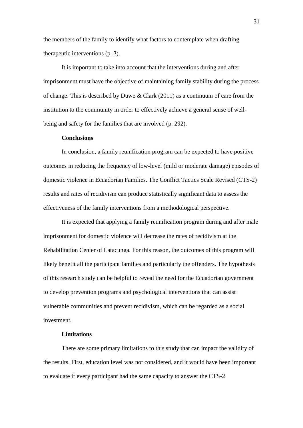the members of the family to identify what factors to contemplate when drafting therapeutic interventions (p. 3).

It is important to take into account that the interventions during and after imprisonment must have the objective of maintaining family stability during the process of change. This is described by Duwe & Clark (2011) as a continuum of care from the institution to the community in order to effectively achieve a general sense of wellbeing and safety for the families that are involved (p. 292).

#### **Conclusions**

In conclusion, a family reunification program can be expected to have positive outcomes in reducing the frequency of low-level (mild or moderate damage) episodes of domestic violence in Ecuadorian Families. The Conflict Tactics Scale Revised (CTS-2) results and rates of recidivism can produce statistically significant data to assess the effectiveness of the family interventions from a methodological perspective.

It is expected that applying a family reunification program during and after male imprisonment for domestic violence will decrease the rates of recidivism at the Rehabilitation Center of Latacunga. For this reason, the outcomes of this program will likely benefit all the participant families and particularly the offenders. The hypothesis of this research study can be helpful to reveal the need for the Ecuadorian government to develop prevention programs and psychological interventions that can assist vulnerable communities and prevent recidivism, which can be regarded as a social investment.

#### **Limitations**

There are some primary limitations to this study that can impact the validity of the results. First, education level was not considered, and it would have been important to evaluate if every participant had the same capacity to answer the CTS-2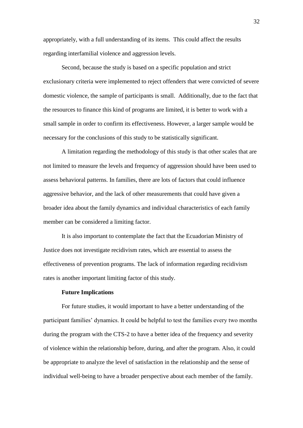appropriately, with a full understanding of its items. This could affect the results regarding interfamilial violence and aggression levels.

Second, because the study is based on a specific population and strict exclusionary criteria were implemented to reject offenders that were convicted of severe domestic violence, the sample of participants is small. Additionally, due to the fact that the resources to finance this kind of programs are limited, it is better to work with a small sample in order to confirm its effectiveness. However, a larger sample would be necessary for the conclusions of this study to be statistically significant.

A limitation regarding the methodology of this study is that other scales that are not limited to measure the levels and frequency of aggression should have been used to assess behavioral patterns. In families, there are lots of factors that could influence aggressive behavior, and the lack of other measurements that could have given a broader idea about the family dynamics and individual characteristics of each family member can be considered a limiting factor.

It is also important to contemplate the fact that the Ecuadorian Ministry of Justice does not investigate recidivism rates, which are essential to assess the effectiveness of prevention programs. The lack of information regarding recidivism rates is another important limiting factor of this study.

#### **Future Implications**

For future studies, it would important to have a better understanding of the participant families' dynamics. It could be helpful to test the families every two months during the program with the CTS-2 to have a better idea of the frequency and severity of violence within the relationship before, during, and after the program. Also, it could be appropriate to analyze the level of satisfaction in the relationship and the sense of individual well-being to have a broader perspective about each member of the family.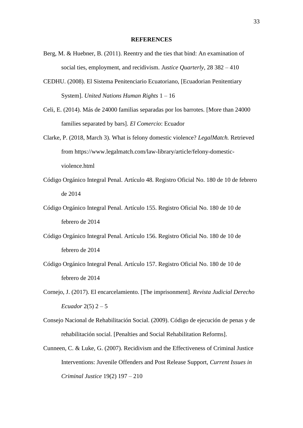#### **REFERENCES**

- Berg, M. & Huebner, B. (2011). Reentry and the ties that bind: An examination of social ties, employment, and recidivism. *Justice Quarterly,* 28 382 – 410
- CEDHU. (2008). El Sistema Penitenciario Ecuatoriano, [Ecuadorian Penitentiary System]. *United Nations Human Rights* 1 – 16
- Celi, E. (2014). Más de 24000 familias separadas por los barrotes. [More than 24000 families separated by bars]. *El Comercio*: Ecuador
- Clarke, P. (2018, March 3). What is felony domestic violence? *LegalMatch.* Retrieved from https://www.legalmatch.com/law-library/article/felony-domesticviolence.html
- Código Orgánico Integral Penal. Artículo 48. Registro Oficial No. 180 de 10 de febrero de 2014
- Código Orgánico Integral Penal. Artículo 155. Registro Oficial No. 180 de 10 de febrero de 2014
- Código Orgánico Integral Penal. Artículo 156. Registro Oficial No. 180 de 10 de febrero de 2014
- Código Orgánico Integral Penal. Artículo 157. Registro Oficial No. 180 de 10 de febrero de 2014
- Cornejo, J. (2017). El encarcelamiento. [The imprisonment]. *Revista Judicial Derecho Ecuador* 2(5) 2 – 5
- Consejo Nacional de Rehabilitación Social. (2009). Código de ejecución de penas y de rehabilitación social. [Penalties and Social Rehabilitation Reforms].
- Cunneen, C. & Luke, G. (2007). Recidivism and the Effectiveness of Criminal Justice Interventions: Juvenile Offenders and Post Release Support, *Current Issues in Criminal Justice* 19(2) 197 – 210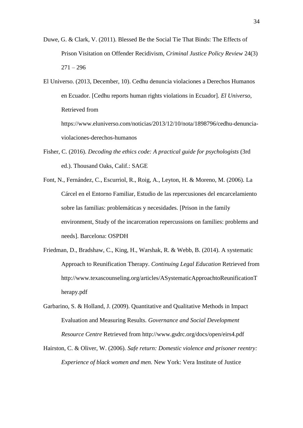- Duwe, G. & Clark, V. (2011). Blessed Be the Social Tie That Binds: The Effects of Prison Visitation on Offender Recidivism, *Criminal Justice Policy Review* 24(3)  $271 - 296$
- El Universo. (2013, December, 10). Cedhu denuncia violaciones a Derechos Humanos en Ecuador. [Cedhu reports human rights violations in Ecuador]. *El Universo,*  Retrieved from

https://www.eluniverso.com/noticias/2013/12/10/nota/1898796/cedhu-denunciaviolaciones-derechos-humanos

- Fisher, C. (2016). *Decoding the ethics code: A practical guide for psychologists* (3rd ed.). Thousand Oaks, Calif.: SAGE
- Font, N., Fernández, C., Escurriol, R., Roig, A., Leyton, H. & Moreno, M. (2006). La Cárcel en el Entorno Familiar, Estudio de las repercusiones del encarcelamiento sobre las familias: problemáticas y necesidades. [Prison in the family environment, Study of the incarceration repercussions on families: problems and needs]. Barcelona: OSPDH
- Friedman, D., Bradshaw, C., King, H., Warshak, R. & Webb, B. (2014). A systematic Approach to Reunification Therapy. *Continuing Legal Education* Retrieved from http://www.texascounseling.org/articles/ASystematicApproachtoReunificationT herapy.pdf
- Garbarino, S. & Holland, J. (2009). Quantitative and Qualitative Methods in Impact Evaluation and Measuring Results. *Governance and Social Development Resource Centre* Retrieved from http://www.gsdrc.org/docs/open/eirs4.pdf
- Hairston, C. & Oliver, W. (2006). *Safe return: Domestic violence and prisoner reentry: Experience of black women and men.* New York: Vera Institute of Justice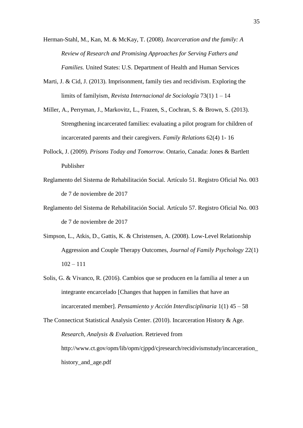Herman-Stahl, M., Kan, M. & McKay, T. (2008). *Incarceration and the family: A Review of Research and Promising Approaches for Serving Fathers and Families.* United States: U.S. Department of Health and Human Services

- Marti, J. & Cid, J. (2013). Imprisonment, family ties and recidivism. Exploring the limits of familyism, *Revista Internacional de Sociología* 73(1) 1 – 14
- Miller, A., Perryman, J., Markovitz, L., Frazen, S., Cochran, S. & Brown, S. (2013). Strengthening incarcerated families: evaluating a pilot program for children of incarcerated parents and their caregivers. *Family Relations* 62(4) 1- 16
- Pollock, J. (2009). *Prisons Today and Tomorrow.* Ontario, Canada: Jones & Bartlett Publisher
- Reglamento del Sistema de Rehabilitación Social. Artículo 51. Registro Oficial No. 003 de 7 de noviembre de 2017
- Reglamento del Sistema de Rehabilitación Social. Artículo 57. Registro Oficial No. 003 de 7 de noviembre de 2017
- Simpson, L., Atkis, D., Gattis, K. & Christensen, A. (2008). Low-Level Relationship Aggression and Couple Therapy Outcomes, *Journal of Family Psychology* 22(1)  $102 - 111$
- Solis, G. & Vivanco, R. (2016). Cambios que se producen en la familia al tener a un integrante encarcelado [Changes that happen in families that have an incarcerated member]. *Pensamiento y Acción Interdisciplinaria* 1(1) 45 – 58
- The Connecticut Statistical Analysis Center. (2010). Incarceration History & Age. *Research, Analysis & Evaluation.* Retrieved from http://www.ct.gov/opm/lib/opm/cjppd/cjresearch/recidivismstudy/incarceration\_ history\_and\_age.pdf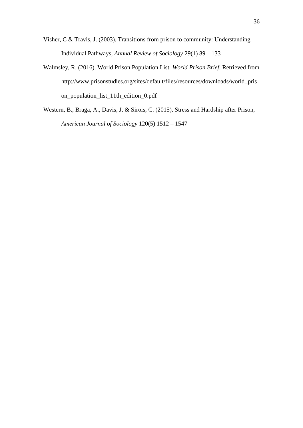- Visher, C & Travis, J. (2003). Transitions from prison to community: Understanding Individual Pathways, *Annual Review of Sociology* 29(1) 89 – 133
- Walmsley, R. (2016). World Prison Population List. *World Prison Brief.* Retrieved from http://www.prisonstudies.org/sites/default/files/resources/downloads/world\_pris on\_population\_list\_11th\_edition\_0.pdf
- Western, B., Braga, A., Davis, J. & Sirois, C. (2015). Stress and Hardship after Prison, *American Journal of Sociology* 120(5) 1512 – 1547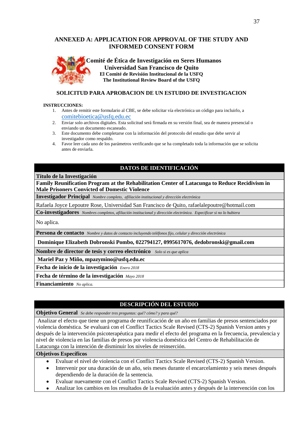## **ANNEXED A: APPLICATION FOR APPROVAL OF THE STUDY AND INFORMED CONSENT FORM**



#### **SOLICITUD PARA APROBACION DE UN ESTUDIO DE INVESTIGACION**

#### **INSTRUCCIONES:**

- 1. Antes de remitir este formulario al CBE, se debe solicitar vía electrónica un código para incluirlo, a [comitebioetica@usfq.edu.ec](mailto:comitebioetica@usfq.edu.ec)
- 2. Enviar solo archivos digitales. Esta solicitud será firmada en su versión final, sea de manera presencial o enviando un documento escaneado.
- 3. Este documento debe completarse con la información del protocolo del estudio que debe servir al investigador como respaldo.
- 4. Favor leer cada uno de los parámetros verificando que se ha completado toda la información que se solicita antes de enviarla.

## **DATOS DE IDENTIFICACIÓN**

#### **Título de la Investigación**

**Family Reunification Program at the Rehabilitation Center of Latacunga to Reduce Recidivism in Male Prisoners Convicted of Domestic Violence**

**Investigador Principal** *Nombre completo, afiliación institucional y dirección electrónica*

Rafaela Joyce Lepoutre Rose, Universidad San Francisco de Quito, rafaelalepoutre@hotmail.com

**Co-investigadores** *Nombres completos, afiliación institucional y dirección electrónica. Especificar si no lo hubiera*

No aplica.

**Persona de contacto** *Nombre y datos de contacto incluyendo teléfonos fijo, celular y dirección electrónica*

**Dominique Elizabeth Dobronski Pombo, 022794127, 0995617076, dedobronski@gmail.com**

**Nombre de director de tesis y correo electrónico** *Solo si es que aplica*

**Mariel Paz y Miño, mpazymino@usfq.edu.ec**

**Fecha de inicio de la investigación** *Enero 2018*

**Fecha de término de la investigación** *Mayo 2018*

**Financiamiento** *No aplica.* 

#### **DESCRIPCIÓN DEL ESTUDIO**

**Objetivo General** *Se debe responder tres preguntas: qué? cómo? y para qué?*

Analizar el efecto que tiene un programa de reunificación de un año en familias de presos sentenciados por violencia doméstica. Se evaluará con el Conflict Tactics Scale Revised (CTS-2) Spanish Version antes y después de la intervención psicoterapéutica para medir el efecto del programa en la frecuencia, prevalencia y nivel de violencia en las familias de presos por violencia doméstica del Centro de Rehabilitación de Latacunga con la intención de disminuir los niveles de reinserción.

#### **Objetivos Específicos**

- Evaluar el nivel de violencia con el Conflict Tactics Scale Revised (CTS-2) Spanish Version.  $\bullet$
- Intervenir por una duración de un año, seis meses durante el encarcelamiento y seis meses después dependiendo de la duración de la sentencia.
- Evaluar nuevamente con el Conflict Tactics Scale Revised (CTS-2) Spanish Version.  $\bullet$
- Analizar los cambios en los resultados de la evaluación antes y después de la intervención con los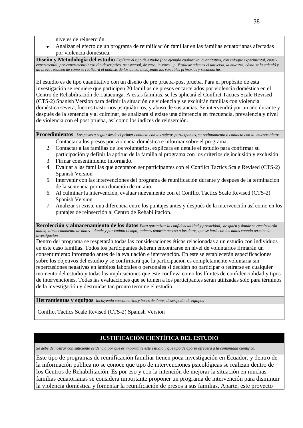niveles de reinserción.

Analizar el efecto de un programa de reunificación familiar en las familias ecuatorianas afectadas por violencia doméstica.

**Diseño y Metodología del estudio** *Explicar el tipo de estudio (por ejemplo cualitativo, cuantitativo, con enfoque experimental, cuasiexperimental, pre-experimental; estudio descriptivo, transversal, de caso, in-vitro…) Explicar además el universo, la muestra, cómo se la calculó y un breve resumen de cómo se realizará el análisis de los datos, incluyendo las variables primarias y secundarias..*

El estudio es de tipo cuantitativo con un diseño de pre prueba-post prueba. Para el propósito de esta investigación se requiere que participen 20 familias de presos encarcelados por violencia doméstica en el Centro de Rehabilitación de Latacunga. A estas familias, se les aplicará el Conflict Tactics Scale Revised (CTS-2) Spanish Version para definir la situación de violencia y se excluirán familias con violencia doméstica severa, fuertes trastornos psiquiátricos, y abuso de sustancias. Se intervendrá por un año durante y después de la sentencia y al culminar, se analizará si existe una diferencia en frecuencia, prevalencia y nivel de violencia con el post prueba, así como los índices de reinserción.

**Procedimientos** *Los pasos a seguir desde el primer contacto con los sujetos participantes, su reclutamiento o contacto con la muestra/datos.*

- 1. Contactar a los presos por violencia doméstica e informar sobre el programa.
- 2. Contactar a las familias de los voluntarios, explicara en detalle el estudio para confirmar su participación y definir la aptitud de la familia al programa con los criterios de inclusión y exclusión.
- 3. Firmar consentimiento informado.
- 4. Evaluar a las familias que aceptaron ser participantes con el Conflict Tactics Scale Revised (CTS-2) Spanish Version
- 5. Intervenir con las intervenciones del programa de reunificación durante y despues de la terminación de la sentencia por una duración de un año.
- 6. Al culminar la intervención, evaluar nuevamente con el Conflict Tactics Scale Revised (CTS-2) Spanish Version
- 7. Analizar si existe una diferencia entre los puntajes antes y después de la intervención así como en los puntajes de reinserción al Centro de Rehabilitación.

**Recolección y almacenamiento de los datos** *Para garantizar la confidencialidad y privacidad, de quién y donde se recolectarán datos; almacenamiento de datos—donde y por cuánto tiempo; quienes tendrán acceso a los datos, qué se hará con los datos cuando termine la investigación*

Dentro del programa se respetarán todas las consideraciones éticas relacionadas a un estudio con individuos en este caso familias. Todos los participantes deberán encontrarse en nivel de voluntarios firmarán un consentimiento informado antes de la evaluación e intervención. En este se establecerán especificaciones sobre los objetivos del estudio y se confirmará que la participación es completamente voluntaria sin repercusiones negativas en ámbitos laborales o personales si deciden no participar o retirarse en cualquier momento del estudio y todas las implicaciones que este conlleva como los límites de confidencialidad y tipos de intervenciones. Todas las evaluaciones que se tomen a los participantes serán utilizadas solo para términos de la investigación y destruidas tan pronto termine el estudio.

**Herramientas y equipos** *Incluyendo cuestionarios y bases de datos, descripción de equipos*

Conflict Tactics Scale Revised (CTS-2) Spanish Version

# **JUSTIFICACIÓN CIENTÍFICA DEL ESTUDIO**

*Se debe demostrar con suficiente evidencia por qué es importante este estudio y qué tipo de aporte ofrecerá a la comunidad científica.*

Este tipo de programas de reunificación familiar tienen poca investigación en Ecuador, y dentro de la información publica no se conoce que tipo de intervenciones psicológicas se realizan dentro de los Centros de Rehabilitación. Es por eso y con la intención de mejorar la situación en muchas familias ecuatorianas se considera importante proponer un programa de intervención para disminuir la violencia doméstica y fomentar la reunificación de presos a sus familias. Aparte, este proyecto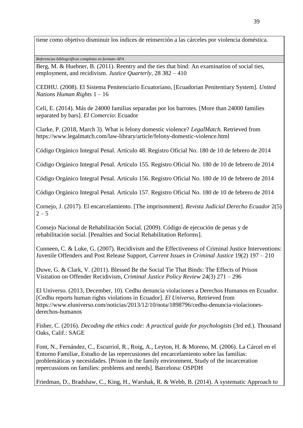tiene como objetivo disminuir los índices de reinserción a las cárceles por violencia doméstica.

*Referencias bibliográficas completas en formato APA*

Berg, M. & Huebner, B. (2011). Reentry and the ties that bind: An examination of social ties, employment, and recidivism. *Justice Quarterly,* 28 382 – 410

CEDHU. (2008). El Sistema Penitenciario Ecuatoriano, [Ecuadorian Penitentiary System]. *United Nations Human Rights* 1 – 16

Celi, E. (2014). Más de 24000 familias separadas por los barrotes. [More than 24000 families separated by bars]. *El Comercio*: Ecuador

Clarke, P. (2018, March 3). What is felony domestic violence? *LegalMatch.* Retrieved from https://www.legalmatch.com/law-library/article/felony-domestic-violence.html

Código Orgánico Integral Penal. Artículo 48. Registro Oficial No. 180 de 10 de febrero de 2014

Código Orgánico Integral Penal. Artículo 155. Registro Oficial No. 180 de 10 de febrero de 2014

Código Orgánico Integral Penal. Artículo 156. Registro Oficial No. 180 de 10 de febrero de 2014

Código Orgánico Integral Penal. Artículo 157. Registro Oficial No. 180 de 10 de febrero de 2014

Cornejo, J. (2017). El encarcelamiento. [The imprisonment]. *Revista Judicial Derecho Ecuador* 2(5)  $2 - 5$ 

Consejo Nacional de Rehabilitación Social. (2009). Código de ejecución de penas y de rehabilitación social. [Penalties and Social Rehabilitation Reforms].

Cunneen, C. & Luke, G. (2007). Recidivism and the Effectiveness of Criminal Justice Interventions: Juvenile Offenders and Post Release Support, *Current Issues in Criminal Justice* 19(2) 197 – 210

Duwe, G. & Clark, V. (2011). Blessed Be the Social Tie That Binds: The Effects of Prison Visitation on Offender Recidivism, *Criminal Justice Policy Review* 24(3) 271 – 296

El Universo. (2013, December, 10). Cedhu denuncia violaciones a Derechos Humanos en Ecuador. [Cedhu reports human rights violations in Ecuador]. *El Universo,* Retrieved from https://www.eluniverso.com/noticias/2013/12/10/nota/1898796/cedhu-denuncia-violacionesderechos-humanos

Fisher, C. (2016). *Decoding the ethics code: A practical guide for psychologists* (3rd ed.). Thousand Oaks, Calif.: SAGE

Font, N., Fernández, C., Escurriol, R., Roig, A., Leyton, H. & Moreno, M. (2006). La Cárcel en el Entorno Familiar, Estudio de las repercusiones del encarcelamiento sobre las familias: problemáticas y necesidades. [Prison in the family environment, Study of the incarceration repercussions on families: problems and needs]. Barcelona: OSPDH

Friedman, D., Bradshaw, C., King, H., Warshak, R. & Webb, B. (2014). A systematic Approach to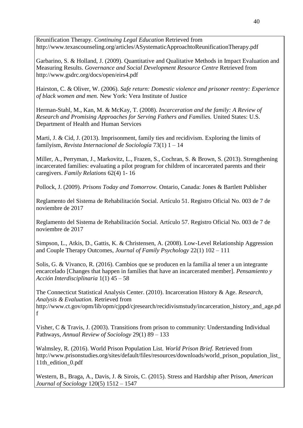Reunification Therapy. *Continuing Legal Education* Retrieved from http://www.texascounseling.org/articles/ASystematicApproachtoReunificationTherapy.pdf

Garbarino, S. & Holland, J. (2009). Quantitative and Qualitative Methods in Impact Evaluation and Measuring Results. *Governance and Social Development Resource Centre* Retrieved from http://www.gsdrc.org/docs/open/eirs4.pdf

Hairston, C. & Oliver, W. (2006). *Safe return: Domestic violence and prisoner reentry: Experience of black women and men.* New York: Vera Institute of Justice

Herman-Stahl, M., Kan, M. & McKay, T. (2008). *Incarceration and the family: A Review of Research and Promising Approaches for Serving Fathers and Families.* United States: U.S. Department of Health and Human Services

Marti, J. & Cid, J. (2013). Imprisonment, family ties and recidivism. Exploring the limits of familyism, *Revista Internacional de Sociología* 73(1) 1 – 14

Miller, A., Perryman, J., Markovitz, L., Frazen, S., Cochran, S. & Brown, S. (2013). Strengthening incarcerated families: evaluating a pilot program for children of incarcerated parents and their caregivers. *Family Relations* 62(4) 1- 16

Pollock, J. (2009). *Prisons Today and Tomorrow.* Ontario, Canada: Jones & Bartlett Publisher

Reglamento del Sistema de Rehabilitación Social. Artículo 51. Registro Oficial No. 003 de 7 de noviembre de 2017

Reglamento del Sistema de Rehabilitación Social. Artículo 57. Registro Oficial No. 003 de 7 de noviembre de 2017

Simpson, L., Atkis, D., Gattis, K. & Christensen, A. (2008). Low-Level Relationship Aggression and Couple Therapy Outcomes, *Journal of Family Psychology* 22(1) 102 – 111

Solis, G. & Vivanco, R. (2016). Cambios que se producen en la familia al tener a un integrante encarcelado [Changes that happen in families that have an incarcerated member]. *Pensamiento y Acción Interdisciplinaria* 1(1) 45 – 58

The Connecticut Statistical Analysis Center. (2010). Incarceration History & Age. *Research, Analysis & Evaluation.* Retrieved from http://www.ct.gov/opm/lib/opm/cjppd/cjresearch/recidivismstudy/incarceration\_history\_and\_age.pd f

Visher, C & Travis, J. (2003). Transitions from prison to community: Understanding Individual Pathways, *Annual Review of Sociology* 29(1) 89 – 133

Walmsley, R. (2016). World Prison Population List. *World Prison Brief.* Retrieved from http://www.prisonstudies.org/sites/default/files/resources/downloads/world\_prison\_population\_list\_ 11th\_edition\_0.pdf

Western, B., Braga, A., Davis, J. & Sirois, C. (2015). Stress and Hardship after Prison, *American Journal of Sociology* 120(5) 1512 – 1547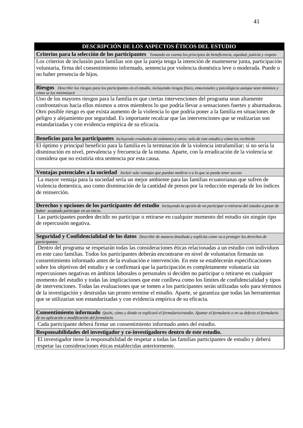## **DESCRIPCIÓN DE LOS ASPECTOS ÉTICOS DEL ESTUDIO**

**Criterios para la selección de los participantes** *Tomando en cuenta los principios de beneficencia, equidad, justicia y respeto* Los criterios de inclusión para familias son que la pareja tenga la intención de mantenerse junta, participación voluntaria, firma del consentimiento informado, sentencia por violencia doméstica leve o moderada. Puede o no haber presencia de hijos.

**Riesgos** *Describir los riesgos para los participantes en el estudio, incluyendo riesgos físico, emocionales y psicológicos aunque sean mínimos y cómo se los minimizará*

Uno de los mayores riesgos para la familia es que ciertas intervenciones del programa sean altamente confrontativas hacia ellos mismos u otros miembros lo que podría llevar a sensaciones fuertes y aburmadoras. Otro posible riesgo es que exista aumento de la violencia lo que podría poner a la familia en situaciones de peligro y alejamiento por seguridad. Es importante recalcar que las intervenciones que se realizarían son estandarizadas y con evidencia empírica de su eficacia.

**Beneficios para los participantes** *Incluyendo resultados de exámenes y otros; solo de este estudio y cómo los recibirán*

El óptimo y principal beneficio para la familia es la terminación de la violencia intrafamiliar; si no sería la disminución en nivel, prevalencia y frecuencia de la misma. Aparte, con la erradicación de la violencia se considera que no existiría otra sentencia por esta causa.

**Ventajas potenciales a la sociedad** *Incluir solo ventajas que puedan medirse o a lo que se pueda tener acceso*

La mayor ventaja para la sociedad sería un mejor ambiente para las familias ecuatorianas que sufren de violencia domestica, aso como disminución de la cantidad de presos por la reducción esperada de los índices de reinserción.

**Derechos y opciones de los participantes del estudio** *Incluyendo la opción de no participar o retirarse del estudio a pesar de haber aceptado participar en un inicio.*

Las participantes pueden decidir no participar o retirarse en cualquier momento del estudio sin ningún tipo de repercusión negativa.

**Seguridad y Confidencialidad de los datos** *Describir de manera detallada y explícita como va a proteger los derechos de participantes*

Dentro del programa se respetarán todas las consideraciones éticas relacionadas a un estudio con individuos en este caso familias. Todos los participantes deberán encontrarse en nivel de voluntarios firmarán un consentimiento informado antes de la evaluación e intervención. En este se establecerán especificaciones sobre los objetivos del estudio y se confirmará que la participación es completamente voluntaria sin repercusiones negativas en ámbitos laborales o personales si deciden no participar o retirarse en cualquier momento del estudio y todas las implicaciones que este conlleva como los límites de confidencialidad y tipos de intervenciones. Todas las evaluaciones que se tomen a los participantes serán utilizadas solo para términos de la investigación y destruidas tan pronto termine el estudio. Aparte, se garantiza que todas las herramientas que se utilizarían son estandarizadas y con evidencia empírica de su eficacia.

**Consentimiento informado** *Quién, cómo y dónde se explicará el formulario/estudio. Ajuntar el formulario o en su defecto el formulario de no aplicación o modificación del formulario*

Cada participante deberá firmar un consentimiento informado antes del estudio.

**Responsabilidades del investigador y co-investigadores dentro de este estudio.**

El investigador tiene la responsabilidad de respetar a todas las familias participantes de estudio y deberá respetar las consideraciones éticas establecidas anteriormente.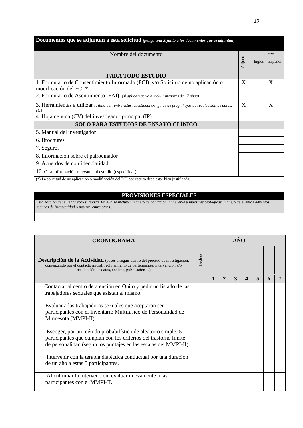| <b>Documentos que se adjuntan a esta solicitud</b> (ponga una $X$ junto a los documentos que se adjuntan)                                                           |         |        |                           |
|---------------------------------------------------------------------------------------------------------------------------------------------------------------------|---------|--------|---------------------------|
| Nombre del documento                                                                                                                                                |         |        | Idioma                    |
|                                                                                                                                                                     | Adjunto | Inglés | Español                   |
| <b>PARA TODO ESTUDIO</b>                                                                                                                                            |         |        |                           |
| 1. Formulario de Consentimiento Informado (FCI) y/o Solicitud de no aplicación o<br>modificación del FCI <sup>*</sup>                                               | X       |        | $\boldsymbol{\mathrm{X}}$ |
| 2. Formulario de Asentimiento (FAI) (si aplica y se va a incluir menores de 17 años)                                                                                |         |        |                           |
| 3. Herramientas a utilizar (Título de:: entrevistas, cuestionarios, guías de preg., hojas de recolección de datos,                                                  |         |        | X                         |
| $etc$ )<br>4. Hoja de vida (CV) del investigador principal (IP)                                                                                                     |         |        |                           |
| <b>SOLO PARA ESTUDIOS DE ENSAYO CLÍNICO</b>                                                                                                                         |         |        |                           |
| 5. Manual del investigador                                                                                                                                          |         |        |                           |
| 6. Brochures                                                                                                                                                        |         |        |                           |
| 7. Seguros                                                                                                                                                          |         |        |                           |
| 8. Información sobre el patrocinador                                                                                                                                |         |        |                           |
| 9. Acuerdos de confidencialidad                                                                                                                                     |         |        |                           |
| 10. Otra información relevante al estudio (especificar)<br>795 To controlled the composition of the different to det TOT and conduct the controlling instiffered to |         |        |                           |

#### (\*) La solicitud de no aplicación o modificación del FCI por escrito debe estar bien justificada.

## **PROVISIONES ESPECIALES**

*Esta sección debe llenar solo si aplica. En ella se incluyen manejo de población vulnerable y muestras biológicas, manejo de eventos adversos, seguros de incapacidad o muerte, entre otros.*

| <b>CRONOGRAMA</b>                                                                                                                                                                                                               |        |   |              | $\mathbf{A}\tilde{\mathbf{N}}\mathbf{O}$ |                  |                         |   |  |
|---------------------------------------------------------------------------------------------------------------------------------------------------------------------------------------------------------------------------------|--------|---|--------------|------------------------------------------|------------------|-------------------------|---|--|
| <b>Descripción de la Actividad</b> (pasos a seguir dentro del proceso de investigación,<br>comenzando por el contacto inicial, reclutamiento de participantes, intervención y/o<br>recolección de datos, análisis, publicación) | Fechas |   |              |                                          |                  |                         |   |  |
|                                                                                                                                                                                                                                 |        | 1 | $\mathbf{2}$ | 3                                        | $\boldsymbol{4}$ | $\overline{\mathbf{5}}$ | 6 |  |
| Contactar al centro de atención en Quito y pedir un listado de las<br>trabajadoras sexuales que asistan al mismo.                                                                                                               |        |   |              |                                          |                  |                         |   |  |
| Evaluar a las trabajadoras sexuales que aceptaron ser<br>participantes con el Inventario Multifásico de Personalidad de<br>Minnesota (MMPI-II).                                                                                 |        |   |              |                                          |                  |                         |   |  |
| Escoger, por un método probabilístico de aleatorio simple, 5<br>participantes que cumplan con los criterios del trastorno límite<br>de personalidad (según los puntajes en las escalas del MMPI-II).                            |        |   |              |                                          |                  |                         |   |  |
| Intervenir con la terapia dialéctica conductual por una duración<br>de un año a estas 5 participantes.                                                                                                                          |        |   |              |                                          |                  |                         |   |  |
| Al culminar la intervención, evaluar nuevamente a las<br>participantes con el MMPI-II.                                                                                                                                          |        |   |              |                                          |                  |                         |   |  |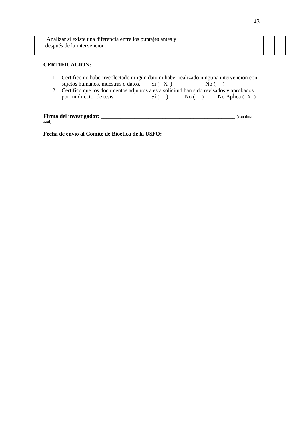| Analizar si existe una diferencia entre los puntajes antes y<br>después de la intervención. |  |  |  |  |  |  |  |  |  |
|---------------------------------------------------------------------------------------------|--|--|--|--|--|--|--|--|--|
|---------------------------------------------------------------------------------------------|--|--|--|--|--|--|--|--|--|

# **CERTIFICACIÓN:**

- 1. Certifico no haber recolectado ningún dato ni haber realizado ninguna intervención con sujetos humanos, muestras o datos.  $Sf(X)$  No ()
- 2. Certifico que los documentos adjuntos a esta solicitud han sido revisados y aprobados por mi director de tesis. Sí ( ) No ( ) No Aplica ( X )

| Firma del investigador: | (con tinta) |
|-------------------------|-------------|
| azul)                   |             |

**Fecha de envío al Comité de Bioética de la USFQ: \_\_\_\_\_\_\_\_\_\_\_\_\_\_\_\_\_\_\_\_\_\_\_\_\_\_\_\_\_**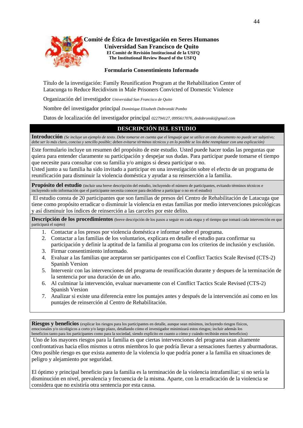

**Comité de Ética de Investigación en Seres Humanos Universidad San Francisco de Quito El Comité de Revisión Institucional de la USFQ The Institutional Review Board of the USFQ**

#### **Formulario Consentimiento Informado**

Título de la investigación: Family Reunification Program at the Rehabilitation Center of Latacunga to Reduce Recidivism in Male Prisoners Convicted of Domestic Violence

Organización del investigador *Universidad San Francisco de Quito* 

Nombre del investigador principal *Dominique Elizabeth Dobronski Pombo*

Datos de localización del investigador principal *022794127, 0995617076, dedobronski@gmail.com*

#### **DESCRIPCIÓN DEL ESTUDIO**

**Introducción** *(Se incluye un ejemplo de texto. Debe tomarse en cuenta que el lenguaje que se utilice en este documento no puede ser subjetivo; debe ser lo más claro, conciso y sencillo posible; deben evitarse términos técnicos y en lo posible se los debe reemplazar con una explicación)*

Este formulario incluye un resumen del propósito de este estudio. Usted puede hacer todas las preguntas que quiera para entender claramente su participación y despejar sus dudas. Para participar puede tomarse el tiempo que necesite para consultar con su familia y/o amigos si desea participar o no.

Usted junto a su familia ha sido invitado a participar en una investigación sobre el efecto de un programa de reunificación para disminuir la violencia doméstica y ayudar a su reinserción a la familia.

**Propósito del estudio** (incluir una breve descripción del estudio, incluyendo el número de participantes, evitando términos técnicos e incluyendo solo información que el participante necesita conocer para decidirse a participar o no en el estudio)

El estudio consta de 20 participantes que son familias de presos del Centro de Rehabilitación de Latacuga que tiene como propósito erradicar o disminuir la violencia en estas familias por medio intervenciones psicológicas y así disminuir los índices de reinserción a las carceles por este delito.

Descripción de los procedimientos (breve descripción de los pasos a seguir en cada etapa y el tiempo que tomará cada intervención en que participará el sujeto)

- 1. Contactar a los presos por violencia doméstica e informar sobre el programa.
- 2. Contactar a las familias de los voluntarios, explicara en detalle el estudio para confirmar su participación y definir la aptitud de la familia al programa con los criterios de inclusión y exclusión.
- 3. Firmar consentimiento informado.
- 4. Evaluar a las familias que aceptaron ser participantes con el Conflict Tactics Scale Revised (CTS-2) Spanish Version
- 5. Intervenir con las intervenciones del programa de reunificación durante y despues de la terminación de la sentencia por una duración de un año.
- 6. Al culminar la intervención, evaluar nuevamente con el Conflict Tactics Scale Revised (CTS-2) Spanish Version
- 7. Analizar si existe una diferencia entre los puntajes antes y después de la intervención así como en los puntajes de reinserción al Centro de Rehabilitación.

Riesgos y beneficios (explicar los riesgos para los participantes en detalle, aunque sean mínimos, incluyendo riesgos físicos, emocionales y/o sicológicos a corto y/o largo plazo, detallando cómo el investigador minimizará estos riesgos; incluir además los beneficios tanto para los participantes como para la sociedad, siendo explícito en cuanto a cómo y cuándo recibirán estos beneficios)

Uno de los mayores riesgos para la familia es que ciertas intervenciones del programa sean altamente confrontativas hacia ellos mismos u otros miembros lo que podría llevar a sensaciones fuertes y aburmadoras. Otro posible riesgo es que exista aumento de la violencia lo que podría poner a la familia en situaciones de peligro y alejamiento por seguridad.

El óptimo y principal beneficio para la familia es la terminación de la violencia intrafamiliar; si no sería la disminución en nivel, prevalencia y frecuencia de la misma. Aparte, con la erradicación de la violencia se considera que no existiría otra sentencia por esta causa.